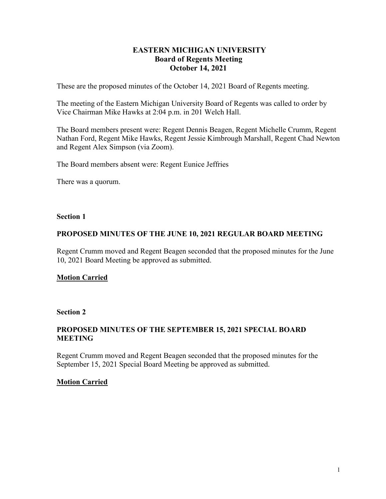# **EASTERN MICHIGAN UNIVERSITY Board of Regents Meeting October 14, 2021**

These are the proposed minutes of the October 14, 2021 Board of Regents meeting.

The meeting of the Eastern Michigan University Board of Regents was called to order by Vice Chairman Mike Hawks at 2:04 p.m. in 201 Welch Hall.

The Board members present were: Regent Dennis Beagen, Regent Michelle Crumm, Regent Nathan Ford, Regent Mike Hawks, Regent Jessie Kimbrough Marshall, Regent Chad Newton and Regent Alex Simpson (via Zoom).

The Board members absent were: Regent Eunice Jeffries

There was a quorum.

### **Section 1**

# **PROPOSED MINUTES OF THE JUNE 10, 2021 REGULAR BOARD MEETING**

Regent Crumm moved and Regent Beagen seconded that the proposed minutes for the June 10, 2021 Board Meeting be approved as submitted.

# **Motion Carried**

### **Section 2**

# **PROPOSED MINUTES OF THE SEPTEMBER 15, 2021 SPECIAL BOARD MEETING**

Regent Crumm moved and Regent Beagen seconded that the proposed minutes for the September 15, 2021 Special Board Meeting be approved as submitted.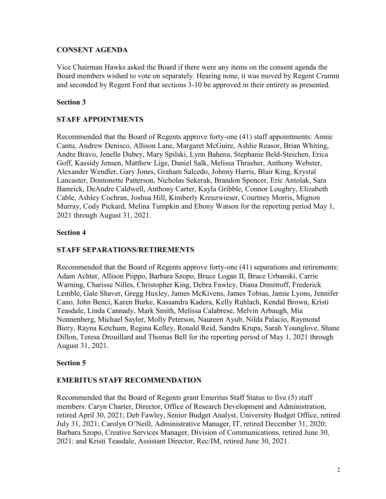# **CONSENT AGENDA**

Vice Chairman Hawks asked the Board if there were any items on the consent agenda the Board members wished to vote on separately. Hearing none, it was moved by Regent Crumm and seconded by Regent Ford that sections 3-10 be approved in their entirety as presented.

# **Section 3**

# **STAFF APPOINTMENTS**

Recommended that the Board of Regents approve forty-one (41) staff appointments: Annie Cantu, Andrew Denisco, Allison Lane, Margaret McGuire, Ashlie Reasor, Brian Whiting, Andre Bravo, Jenelle Dubey, Mary Spilski, Lynn Bahena, Stephanie Beld-Steichen, Erica Goff, Kassidy Jensen, Matthew Lige, Daniel Salk, Melissa Thrasher, Anthony Webster, Alexander Wendler, Gary Jones, Graham Salcedo, Johnny Harris, Blair King, Krystal Lancaster, Dontonette Patterson, Nicholas Sekerak, Brandon Spencer, Eric Antolak, Sara Bamrick, DeAndre Caldwell, Anthony Carter, Kayla Gribble, Connor Loughry, Elizabeth Cable, Ashley Cochran, Joshua Hill, Kimberly Kreuzwieser, Courtney Morris, Mignon Murray, Cody Pickard, Melina Tumpkin and Ebony Watson for the reporting period May 1, 2021 through August 31, 2021.

# **Section 4**

# **STAFF SEPARATIONS/RETIREMENTS**

Recommended that the Board of Regents approve forty-one (41) separations and retirements: Adam Achter, Allison Piippo, Barbara Szopo, Bruce Logan II, Bruce Urbanski, Carrie Warning, Charisse Nilles, Christopher King, Debra Fawley, Diana Dimitroff, Frederick Lemble, Gale Shaver, Gregg Huxley, James McKivens, James Tobias, Jamie Lyons, Jennifer Cano, John Benci, Karen Burke, Kassandra Kadera, Kelly Ruhlach, Kendal Brown, Kristi Teasdale, Linda Cannady, Mark Smith, Melissa Calabrese, Melvin Arbaugh, Mia Nonnenberg, Michael Sayler, Molly Peterson, Naureen Ayub, Nilda Palacio, Raymond Biery, Rayna Ketchum, Regina Kelley, Ronald Reid, Sandra Krupa, Sarah Younglove, Shane Dillon, Teresa Drouillard and Thomas Bell for the reporting period of May 1, 2021 through August 31, 2021.

# **Section 5**

# **EMERITUS STAFF RECOMMENDATION**

Recommended that the Board of Regents grant Emeritus Staff Status to five (5) staff members: Caryn Charter, Director, Office of Research Development and Administration, retired April 30, 2021; Deb Fawley, Senior Budget Analyst, University Budget Office, retired July 31, 2021; Carolyn O'Neill, Administrative Manager, IT, retired December 31, 2020; Barbara Szopo, Creative Services Manager, Division of Communications, retired June 30, 2021: and Kristi Teasdale, Assistant Director, Rec/IM, retired June 30, 2021.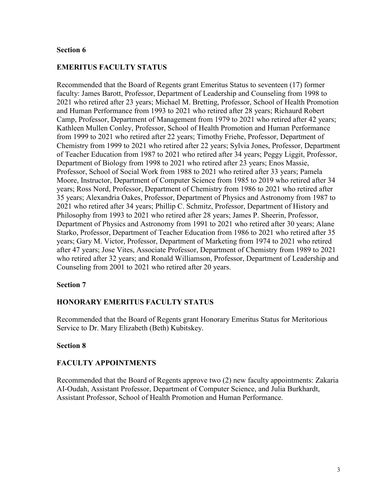### **EMERITUS FACULTY STATUS**

Recommended that the Board of Regents grant Emeritus Status to seventeen (17) former faculty: James Barott, Professor, Department of Leadership and Counseling from 1998 to 2021 who retired after 23 years; Michael M. Bretting, Professor, School of Health Promotion and Human Performance from 1993 to 2021 who retired after 28 years; Richaurd Robert Camp, Professor, Department of Management from 1979 to 2021 who retired after 42 years; Kathleen Mullen Conley, Professor, School of Health Promotion and Human Performance from 1999 to 2021 who retired after 22 years; Timothy Friehe, Professor, Department of Chemistry from 1999 to 2021 who retired after 22 years; Sylvia Jones, Professor, Department of Teacher Education from 1987 to 2021 who retired after 34 years; Peggy Liggit, Professor, Department of Biology from 1998 to 2021 who retired after 23 years; Enos Massie, Professor, School of Social Work from 1988 to 2021 who retired after 33 years; Pamela Moore, Instructor, Department of Computer Science from 1985 to 2019 who retired after 34 years; Ross Nord, Professor, Department of Chemistry from 1986 to 2021 who retired after 35 years; Alexandria Oakes, Professor, Department of Physics and Astronomy from 1987 to 2021 who retired after 34 years; Phillip C. Schmitz, Professor, Department of History and Philosophy from 1993 to 2021 who retired after 28 years; James P. Sheerin, Professor, Department of Physics and Astronomy from 1991 to 2021 who retired after 30 years; Alane Starko, Professor, Department of Teacher Education from 1986 to 2021 who retired after 35 years; Gary M. Victor, Professor, Department of Marketing from 1974 to 2021 who retired after 47 years; Jose Vites, Associate Professor, Department of Chemistry from 1989 to 2021 who retired after 32 years; and Ronald Williamson, Professor, Department of Leadership and Counseling from 2001 to 2021 who retired after 20 years.

### **Section 7**

# **HONORARY EMERITUS FACULTY STATUS**

Recommended that the Board of Regents grant Honorary Emeritus Status for Meritorious Service to Dr. Mary Elizabeth (Beth) Kubitskey.

### **Section 8**

# **FACULTY APPOINTMENTS**

Recommended that the Board of Regents approve two (2) new faculty appointments: Zakaria AI-Oudah, Assistant Professor, Department of Computer Science, and Julia Burkhardt, Assistant Professor, School of Health Promotion and Human Performance.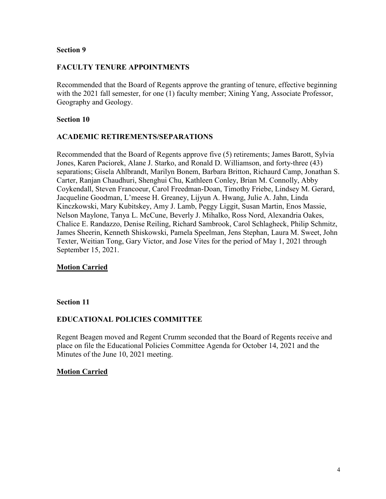### **FACULTY TENURE APPOINTMENTS**

Recommended that the Board of Regents approve the granting of tenure, effective beginning with the 2021 fall semester, for one (1) faculty member; Xining Yang, Associate Professor, Geography and Geology.

#### **Section 10**

### **ACADEMIC RETIREMENTS/SEPARATIONS**

Recommended that the Board of Regents approve five (5) retirements; James Barott, Sylvia Jones, Karen Paciorek, Alane J. Starko, and Ronald D. Williamson, and forty-three (43) separations; Gisela Ahlbrandt, Marilyn Bonem, Barbara Britton, Richaurd Camp, Jonathan S. Carter, Ranjan Chaudhuri, Shenghui Chu, Kathleen Conley, Brian M. Connolly, Abby Coykendall, Steven Francoeur, Carol Freedman-Doan, Timothy Friebe, Lindsey M. Gerard, Jacqueline Goodman, L'meese H. Greaney, Lijyun A. Hwang, Julie A. Jahn, Linda Kinczkowski, Mary Kubitskey, Amy J. Lamb, Peggy Liggit, Susan Martin, Enos Massie, Nelson Maylone, Tanya L. McCune, Beverly J. Mihalko, Ross Nord, Alexandria Oakes, Chalice E. Randazzo, Denise Reiling, Richard Sambrook, Carol Schlagheck, Philip Schmitz, James Sheerin, Kenneth Shiskowski, Pamela Speelman, Jens Stephan, Laura M. Sweet, John Texter, Weitian Tong, Gary Victor, and Jose Vites for the period of May 1, 2021 through September 15, 2021.

### **Motion Carried**

#### **Section 11**

### **EDUCATIONAL POLICIES COMMITTEE**

Regent Beagen moved and Regent Crumm seconded that the Board of Regents receive and place on file the Educational Policies Committee Agenda for October 14, 2021 and the Minutes of the June 10, 2021 meeting.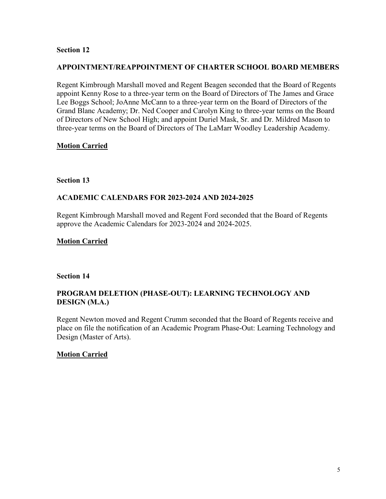### **APPOINTMENT/REAPPOINTMENT OF CHARTER SCHOOL BOARD MEMBERS**

Regent Kimbrough Marshall moved and Regent Beagen seconded that the Board of Regents appoint Kenny Rose to a three-year term on the Board of Directors of The James and Grace Lee Boggs School; JoAnne McCann to a three-year term on the Board of Directors of the Grand Blanc Academy; Dr. Ned Cooper and Carolyn King to three-year terms on the Board of Directors of New School High; and appoint Duriel Mask, Sr. and Dr. Mildred Mason to three-year terms on the Board of Directors of The LaMarr Woodley Leadership Academy.

# **Motion Carried**

### **Section 13**

# **ACADEMIC CALENDARS FOR 2023-2024 AND 2024-2025**

Regent Kimbrough Marshall moved and Regent Ford seconded that the Board of Regents approve the Academic Calendars for 2023-2024 and 2024-2025.

### **Motion Carried**

### **Section 14**

# **PROGRAM DELETION (PHASE-OUT): LEARNING TECHNOLOGY AND DESIGN (M.A.)**

Regent Newton moved and Regent Crumm seconded that the Board of Regents receive and place on file the notification of an Academic Program Phase-Out: Learning Technology and Design (Master of Arts).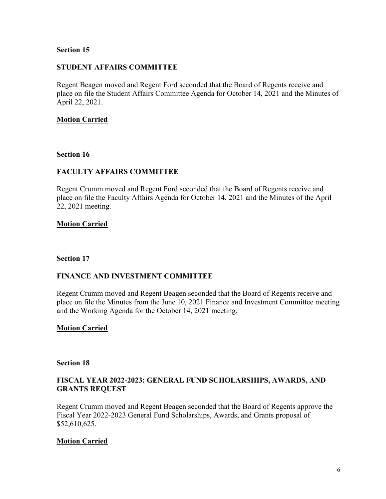### **STUDENT AFFAIRS COMMITTEE**

Regent Beagen moved and Regent Ford seconded that the Board of Regents receive and place on file the Student Affairs Committee Agenda for October 14, 2021 and the Minutes of April 22, 2021.

### **Motion Carried**

### **Section 16**

# **FACULTY AFFAIRS COMMITTEE**

Regent Crumm moved and Regent Ford seconded that the Board of Regents receive and place on file the Faculty Affairs Agenda for October 14, 2021 and the Minutes of the April 22, 2021 meeting.

### **Motion Carried**

#### **Section 17**

### **FINANCE AND INVESTMENT COMMITTEE**

Regent Crumm moved and Regent Beagen seconded that the Board of Regents receive and place on file the Minutes from the June 10, 2021 Finance and Investment Committee meeting and the Working Agenda for the October 14, 2021 meeting.

### **Motion Carried**

#### **Section 18**

### **FISCAL YEAR 2022-2023: GENERAL FUND SCHOLARSHIPS, AWARDS, AND GRANTS REQUEST**

Regent Crumm moved and Regent Beagen seconded that the Board of Regents approve the Fiscal Year 2022-2023 General Fund Scholarships, Awards, and Grants proposal of \$52,610,625.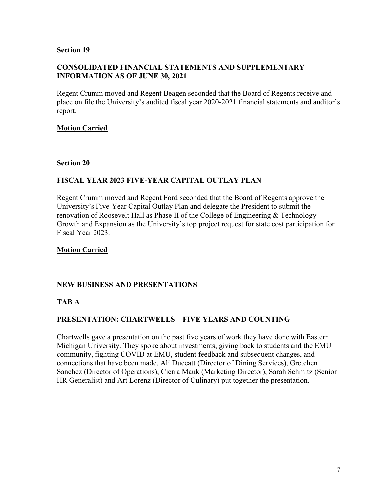### **CONSOLIDATED FINANCIAL STATEMENTS AND SUPPLEMENTARY INFORMATION AS OF JUNE 30, 2021**

Regent Crumm moved and Regent Beagen seconded that the Board of Regents receive and place on file the University's audited fiscal year 2020-2021 financial statements and auditor's report.

# **Motion Carried**

### **Section 20**

# **FISCAL YEAR 2023 FIVE-YEAR CAPITAL OUTLAY PLAN**

Regent Crumm moved and Regent Ford seconded that the Board of Regents approve the University's Five-Year Capital Outlay Plan and delegate the President to submit the renovation of Roosevelt Hall as Phase II of the College of Engineering & Technology Growth and Expansion as the University's top project request for state cost participation for Fiscal Year 2023.

# **Motion Carried**

# **NEW BUSINESS AND PRESENTATIONS**

### **TAB A**

# **PRESENTATION: CHARTWELLS – FIVE YEARS AND COUNTING**

Chartwells gave a presentation on the past five years of work they have done with Eastern Michigan University. They spoke about investments, giving back to students and the EMU community, fighting COVID at EMU, student feedback and subsequent changes, and connections that have been made. Ali Duceatt (Director of Dining Services), Gretchen Sanchez (Director of Operations), Cierra Mauk (Marketing Director), Sarah Schmitz (Senior HR Generalist) and Art Lorenz (Director of Culinary) put together the presentation.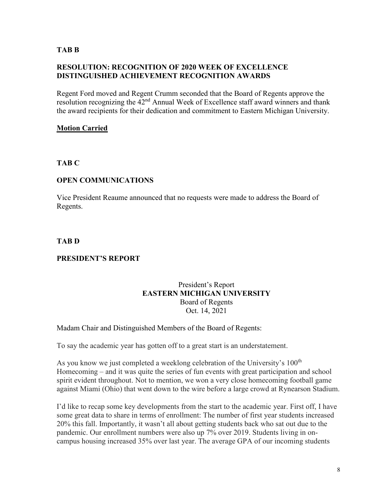### **TAB B**

# **RESOLUTION: RECOGNITION OF 2020 WEEK OF EXCELLENCE DISTINGUISHED ACHIEVEMENT RECOGNITION AWARDS**

Regent Ford moved and Regent Crumm seconded that the Board of Regents approve the resolution recognizing the  $42<sup>nd</sup>$  Annual Week of Excellence staff award winners and thank the award recipients for their dedication and commitment to Eastern Michigan University.

# **Motion Carried**

# **TAB C**

### **OPEN COMMUNICATIONS**

Vice President Reaume announced that no requests were made to address the Board of Regents.

### **TAB D**

# **PRESIDENT'S REPORT**

### President's Report **EASTERN MICHIGAN UNIVERSITY** Board of Regents Oct. 14, 2021

### Madam Chair and Distinguished Members of the Board of Regents:

To say the academic year has gotten off to a great start is an understatement.

As you know we just completed a weeklong celebration of the University's 100<sup>th</sup> Homecoming – and it was quite the series of fun events with great participation and school spirit evident throughout. Not to mention, we won a very close homecoming football game against Miami (Ohio) that went down to the wire before a large crowd at Rynearson Stadium.

I'd like to recap some key developments from the start to the academic year. First off, I have some great data to share in terms of enrollment: The number of first year students increased 20% this fall. Importantly, it wasn't all about getting students back who sat out due to the pandemic. Our enrollment numbers were also up 7% over 2019. Students living in oncampus housing increased 35% over last year. The average GPA of our incoming students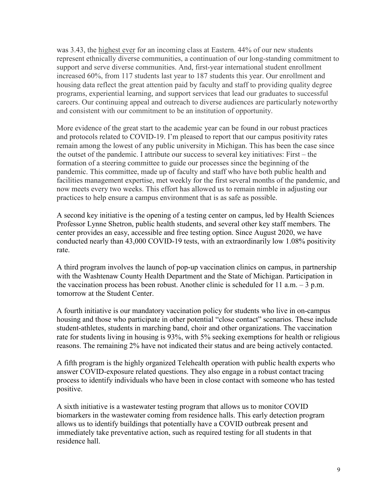was 3.43, the highest ever for an incoming class at Eastern. 44% of our new students represent ethnically diverse communities, a continuation of our long-standing commitment to support and serve diverse communities. And, first-year international student enrollment increased 60%, from 117 students last year to 187 students this year. Our enrollment and housing data reflect the great attention paid by faculty and staff to providing quality degree programs, experiential learning, and support services that lead our graduates to successful careers. Our continuing appeal and outreach to diverse audiences are particularly noteworthy and consistent with our commitment to be an institution of opportunity.

More evidence of the great start to the academic year can be found in our robust practices and protocols related to COVID-19. I'm pleased to report that our campus positivity rates remain among the lowest of any public university in Michigan. This has been the case since the outset of the pandemic. I attribute our success to several key initiatives: First – the formation of a steering committee to guide our processes since the beginning of the pandemic. This committee, made up of faculty and staff who have both public health and facilities management expertise, met weekly for the first several months of the pandemic, and now meets every two weeks. This effort has allowed us to remain nimble in adjusting our practices to help ensure a campus environment that is as safe as possible.

A second key initiative is the opening of a testing center on campus, led by Health Sciences Professor Lynne Shetron, public health students, and several other key staff members. The center provides an easy, accessible and free testing option. Since August 2020, we have conducted nearly than 43,000 COVID-19 tests, with an extraordinarily low 1.08% positivity rate.

A third program involves the launch of pop-up vaccination clinics on campus, in partnership with the Washtenaw County Health Department and the State of Michigan. Participation in the vaccination process has been robust. Another clinic is scheduled for 11 a.m.  $-3$  p.m. tomorrow at the Student Center.

A fourth initiative is our mandatory vaccination policy for students who live in on-campus housing and those who participate in other potential "close contact" scenarios. These include student-athletes, students in marching band, choir and other organizations. The vaccination rate for students living in housing is 93%, with 5% seeking exemptions for health or religious reasons. The remaining 2% have not indicated their status and are being actively contacted.

A fifth program is the highly organized Telehealth operation with public health experts who answer COVID-exposure related questions. They also engage in a robust contact tracing process to identify individuals who have been in close contact with someone who has tested positive.

A sixth initiative is a wastewater testing program that allows us to monitor COVID biomarkers in the wastewater coming from residence halls. This early detection program allows us to identify buildings that potentially have a COVID outbreak present and immediately take preventative action, such as required testing for all students in that residence hall.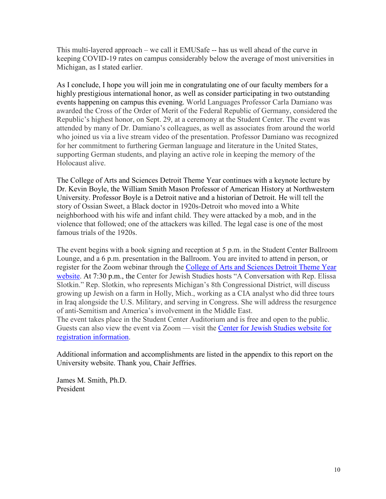This multi-layered approach – we call it EMUSafe -- has us well ahead of the curve in keeping COVID-19 rates on campus considerably below the average of most universities in Michigan, as I stated earlier.

As I conclude, I hope you will join me in congratulating one of our faculty members for a highly prestigious international honor, as well as consider participating in two outstanding events happening on campus this evening. World Languages Professor Carla Damiano was awarded the Cross of the Order of Merit of the Federal Republic of Germany, considered the Republic's highest honor, on Sept. 29, at a ceremony at the Student Center. The event was attended by many of Dr. Damiano's colleagues, as well as associates from around the world who joined us via a live stream video of the presentation. Professor Damiano was recognized for her commitment to furthering German language and literature in the United States, supporting German students, and playing an active role in keeping the memory of the Holocaust alive.

The College of Arts and Sciences Detroit Theme Year continues with a keynote lecture by Dr. Kevin Boyle, the William Smith Mason Professor of American History at Northwestern University. Professor Boyle is a Detroit native and a historian of Detroit. He will tell the story of Ossian Sweet, a Black doctor in 1920s-Detroit who moved into a White neighborhood with his wife and infant child. They were attacked by a mob, and in the violence that followed; one of the attackers was killed. The legal case is one of the most famous trials of the 1920s.

The event begins with a book signing and reception at 5 p.m. in the Student Center Ballroom Lounge, and a 6 p.m. presentation in the Ballroom. You are invited to attend in person, or register for the Zoom webinar through the [College of Arts and Sciences Detroit Theme Year](https://sites.google.com/emich.edu/detroitcas21-22/home)  [website.](https://sites.google.com/emich.edu/detroitcas21-22/home) At 7:30 p.m., the Center for Jewish Studies hosts "A Conversation with Rep. Elissa Slotkin." Rep. Slotkin, who represents Michigan's 8th Congressional District, will discuss growing up Jewish on a farm in Holly, Mich., working as a CIA analyst who did three tours in Iraq alongside the U.S. Military, and serving in Congress. She will address the resurgence of anti-Semitism and America's involvement in the Middle East.

The event takes place in the Student Center Auditorium and is free and open to the public. Guests can also view the event via Zoom — visit the [Center for Jewish Studies website for](https://www.emich.edu/jewish-studies/index.php)  [registration information.](https://www.emich.edu/jewish-studies/index.php)

Additional information and accomplishments are listed in the appendix to this report on the University website. Thank you, Chair Jeffries.

James M. Smith, Ph.D. President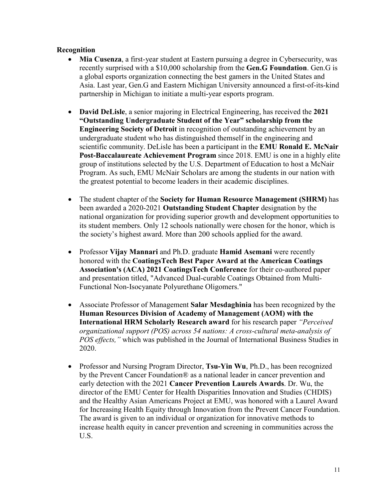### **Recognition**

- **Mia Cusenza**, a first-year student at Eastern pursuing a degree in Cybersecurity, was recently surprised with a \$10,000 scholarship from the **Gen.G Foundation**. Gen.G is a global esports organization connecting the best gamers in the United States and Asia. Last year, Gen.G and Eastern Michigan University announced a first-of-its-kind partnership in Michigan to initiate a multi-year esports program.
- **David DeLisle**, a senior majoring in Electrical Engineering, has received the **2021 "Outstanding Undergraduate Student of the Year" scholarship from the Engineering Society of Detroit** in recognition of outstanding achievement by an undergraduate student who has distinguished themself in the engineering and scientific community. DeLisle has been a participant in the **EMU Ronald E. McNair Post-Baccalaureate Achievement Program** since 2018. EMU is one in a highly elite group of institutions selected by the U.S. Department of Education to host a McNair Program. As such, EMU McNair Scholars are among the students in our nation with the greatest potential to become leaders in their academic disciplines.
- The student chapter of the **Society for Human Resource Management (SHRM)** has been awarded a 2020-2021 **Outstanding Student Chapter** designation by the national organization for providing superior growth and development opportunities to its student members. Only 12 schools nationally were chosen for the honor, which is the society's highest award. More than 200 schools applied for the award.
- Professor **Vijay Mannari** and Ph.D. graduate **Hamid Asemani** were recently honored with the **CoatingsTech Best Paper Award at the American Coatings Association's (ACA) 2021 CoatingsTech Conference** for their co-authored paper and presentation titled, "Advanced Dual-curable Coatings Obtained from Multi-Functional Non-Isocyanate Polyurethane Oligomers."
- Associate Professor of Management **Salar Mesdaghinia** has been recognized by the **Human Resources Division of Academy of Management (AOM) with the International HRM Scholarly Research award** for his research paper *"Perceived organizational support (POS) across 54 nations: A cross-cultural meta-analysis of POS effects,"* which was published in the Journal of International Business Studies in 2020.
- Professor and Nursing Program Director, **Tsu-Yin Wu**, Ph.D., has been recognized by the Prevent Cancer Foundation® as a national leader in cancer prevention and early detection with the 2021 **Cancer Prevention Laurels Awards**. Dr. Wu, the director of the EMU Center for Health Disparities Innovation and Studies (CHDIS) and the Healthy Asian Americans Project at EMU, was honored with a Laurel Award for Increasing Health Equity through Innovation from the Prevent Cancer Foundation. The award is given to an individual or organization for innovative methods to increase health equity in cancer prevention and screening in communities across the U.S.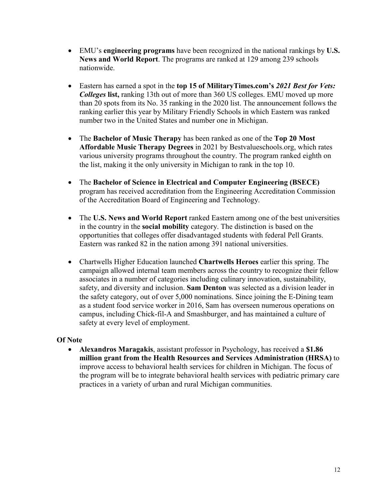- EMU's **engineering programs** have been recognized in the national rankings by **U.S. News and World Report**. The programs are ranked at 129 among 239 schools nationwide.
- Eastern has earned a spot in the **top 15 of MilitaryTimes.com's** *2021 Best for Vets: Colleges* **list,** ranking 13th out of more than 360 US colleges. EMU moved up more than 20 spots from its No. 35 ranking in the 2020 list. The announcement follows the ranking earlier this year by Military Friendly Schools in which Eastern was ranked number two in the United States and number one in Michigan.
- The **Bachelor of Music Therapy** has been ranked as one of the **Top 20 Most Affordable Music Therapy Degrees** in 2021 by Bestvalueschools.org, which rates various university programs throughout the country. The program ranked eighth on the list, making it the only university in Michigan to rank in the top 10.
- The **Bachelor of Science in Electrical and Computer Engineering (BSECE)** program has received accreditation from the Engineering Accreditation Commission of the Accreditation Board of Engineering and Technology.
- The **U.S. News and World Report** ranked Eastern among one of the best universities in the country in the **social mobility** category. The distinction is based on the opportunities that colleges offer disadvantaged students with federal Pell Grants. Eastern was ranked 82 in the nation among 391 national universities.
- Chartwells Higher Education launched **Chartwells Heroes** earlier this spring. The campaign allowed internal team members across the country to recognize their fellow associates in a number of categories including culinary innovation, sustainability, safety, and diversity and inclusion. **Sam Denton** was selected as a division leader in the safety category, out of over 5,000 nominations. Since joining the E-Dining team as a student food service worker in 2016, Sam has overseen numerous operations on campus, including Chick-fil-A and Smashburger, and has maintained a culture of safety at every level of employment.

# **Of Note**

• **Alexandros Maragakis**, assistant professor in Psychology, has received a **\$1.86 million grant from the Health Resources and Services Administration (HRSA)** to improve access to behavioral health services for children in Michigan. The focus of the program will be to integrate behavioral health services with pediatric primary care practices in a variety of urban and rural Michigan communities.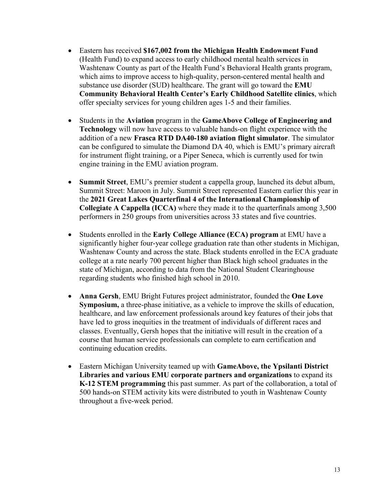- Eastern has received **\$167,002 from the Michigan Health Endowment Fund** (Health Fund) to expand access to early childhood mental health services in Washtenaw County as part of the Health Fund's Behavioral Health grants program, which aims to improve access to high-quality, person-centered mental health and substance use disorder (SUD) healthcare. The grant will go toward the **EMU Community Behavioral Health Center's Early Childhood Satellite clinics**, which offer specialty services for young children ages 1-5 and their families.
- Students in the **Aviation** program in the **GameAbove College of Engineering and Technology** will now have access to valuable hands-on flight experience with the addition of a new **Frasca RTD DA40-180 aviation flight simulator**. The simulator can be configured to simulate the Diamond DA 40, which is EMU's primary aircraft for instrument flight training, or a Piper Seneca, which is currently used for twin engine training in the EMU aviation program.
- **Summit Street**, EMU's premier student a cappella group, launched its debut album, Summit Street: Maroon in July. Summit Street represented Eastern earlier this year in the **2021 Great Lakes Quarterfinal 4 of the International Championship of Collegiate A Cappella (ICCA)** where they made it to the quarterfinals among 3,500 performers in 250 groups from universities across 33 states and five countries.
- Students enrolled in the **Early College Alliance (ECA) program** at EMU have a significantly higher four-year college graduation rate than other students in Michigan, Washtenaw County and across the state. Black students enrolled in the ECA graduate college at a rate nearly 700 percent higher than Black high school graduates in the state of Michigan, according to data from the National Student Clearinghouse regarding students who finished high school in 2010.
- **Anna Gersh**, EMU [Bright Futures](https://www.emubrightfutures.org/) project administrator, founded the **One Love Symposium,** a three-phase initiative, as a vehicle to improve the skills of education, healthcare, and law enforcement professionals around key features of their jobs that have led to gross inequities in the treatment of individuals of different races and classes. Eventually, Gersh hopes that the initiative will result in the creation of a course that human service professionals can complete to earn certification and continuing education credits.
- Eastern Michigan University teamed up with **GameAbove, the Ypsilanti District Libraries and various EMU corporate partners and organizations** to expand its **K-12 STEM programming** this past summer. As part of the collaboration, a total of 500 hands-on STEM activity kits were distributed to youth in Washtenaw County throughout a five-week period.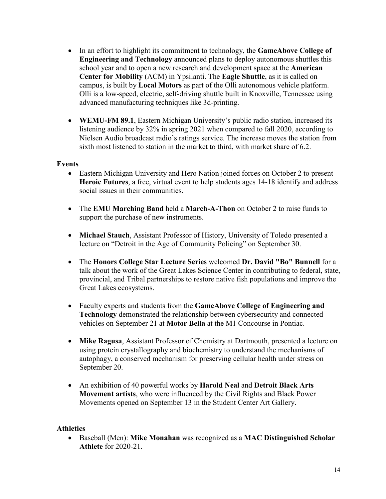- In an effort to highlight its commitment to technology, the **GameAbove College of Engineering and Technology** announced plans to deploy autonomous shuttles this school year and to open a new research and development space at the **American Center for Mobility** (ACM) in Ypsilanti. The **Eagle Shuttle**, as it is called on campus, is built by **Local Motors** as part of the Olli autonomous vehicle platform. Olli is a low-speed, electric, self-driving shuttle built in Knoxville, Tennessee using advanced manufacturing techniques like 3d-printing.
- **WEMU-FM 89.1**, Eastern Michigan University's public radio station, increased its listening audience by 32% in spring 2021 when compared to fall 2020, according to Nielsen Audio broadcast radio's ratings service. The increase moves the station from sixth most listened to station in the market to third, with market share of 6.2.

### **Events**

- Eastern Michigan University and Hero Nation joined forces on October 2 to present **Heroic Futures**, a free, virtual event to help students ages 14-18 identify and address social issues in their communities.
- The **EMU Marching Band** held a **March-A-Thon** on October 2 to raise funds to support the purchase of new instruments.
- **Michael Stauch**, Assistant Professor of History, University of Toledo presented a lecture on "Detroit in the Age of Community Policing" on September 30.
- The **Honors College Star Lecture Series** welcomed **Dr. David "Bo" Bunnell** for a talk about the work of the Great Lakes Science Center in contributing to federal, state, provincial, and Tribal partnerships to restore native fish populations and improve the Great Lakes ecosystems.
- Faculty experts and students from the **GameAbove College of Engineering and Technology** demonstrated the relationship between cybersecurity and connected vehicles on September 21 at **Motor Bella** at the M1 Concourse in Pontiac.
- **Mike Ragusa**, Assistant Professor of Chemistry at Dartmouth, presented a lecture on using protein crystallography and biochemistry to understand the mechanisms of autophagy, a conserved mechanism for preserving cellular health under stress on September 20.
- An exhibition of 40 powerful works by **Harold Neal** and **Detroit Black Arts Movement artists**, who were influenced by the Civil Rights and Black Power Movements opened on September 13 in the Student Center Art Gallery.

### **Athletics**

• Baseball (Men): **Mike Monahan** was recognized as a **MAC Distinguished Scholar Athlete** for 2020-21.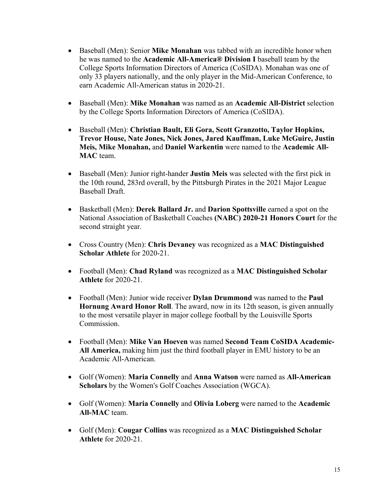- Baseball (Men): Senior **Mike Monahan** was tabbed with an incredible honor when he was named to the **Academic All-America® Division I** baseball team by the College Sports Information Directors of America (CoSIDA). Monahan was one of only 33 players nationally, and the only player in the Mid-American Conference, to earn Academic All-American status in 2020-21.
- Baseball (Men): **Mike Monahan** was named as an **Academic All-District** selection by the College Sports Information Directors of America (CoSIDA).
- Baseball (Men): **Christian Bault, Eli Gora, Scott Granzotto, Taylor Hopkins, Trevor House, Nate Jones, Nick Jones, Jared Kauffman, Luke McGuire, Justin Meis, Mike Monahan,** and **Daniel Warkentin** were named to the **Academic All-MAC** team.
- Baseball (Men): Junior right-hander **Justin Meis** was selected with the first pick in the 10th round, 283rd overall, by the Pittsburgh Pirates in the 2021 Major League Baseball Draft.
- Basketball (Men): **Derek Ballard Jr.** and **Darion Spottsville** earned a spot on the National Association of Basketball Coaches **(NABC) 2020-21 Honors Court** for the second straight year.
- Cross Country (Men): **Chris Devaney** was recognized as a **MAC Distinguished Scholar Athlete** for 2020-21.
- Football (Men): **Chad Ryland** was recognized as a **MAC Distinguished Scholar Athlete** for 2020-21.
- Football (Men): Junior wide receiver **Dylan Drummond** was named to the **Paul Hornung Award Honor Roll**. The award, now in its 12th season, is given annually to the most versatile player in major college football by the Louisville Sports Commission.
- Football (Men): **Mike Van Hoeven** was named **Second Team CoSIDA Academic-All America,** making him just the third football player in EMU history to be an Academic All-American.
- Golf (Women): **Maria Connelly** and **Anna Watson** were named as **All-American Scholars** by the Women's Golf Coaches Association (WGCA).
- Golf (Women): **Maria Connelly** and **Olivia Loberg** were named to the **Academic All-MAC** team.
- Golf (Men): **Cougar Collins** was recognized as a **MAC Distinguished Scholar Athlete** for 2020-21.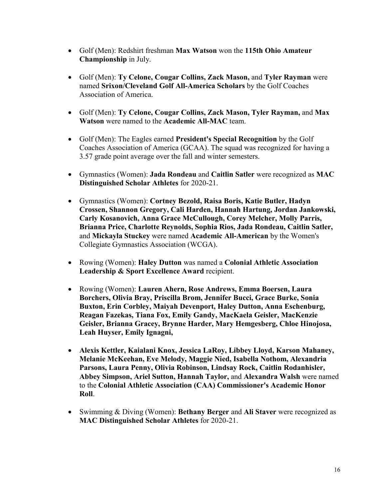- Golf (Men): Redshirt freshman **Max Watson** won the **115th Ohio Amateur Championship** in July.
- Golf (Men): **Ty Celone, Cougar Collins, Zack Mason,** and **Tyler Rayman** were named **Srixon/Cleveland Golf All-America Scholars** by the Golf Coaches Association of America.
- Golf (Men): **Ty Celone, Cougar Collins, Zack Mason, Tyler Rayman,** and **Max Watson** were named to the **Academic All-MAC** team.
- Golf (Men): The Eagles earned **President's Special Recognition** by the Golf Coaches Association of America (GCAA). The squad was recognized for having a 3.57 grade point average over the fall and winter semesters.
- Gymnastics (Women): **Jada Rondeau** and **Caitlin Satler** were recognized as **MAC Distinguished Scholar Athletes** for 2020-21.
- Gymnastics (Women): **Cortney Bezold, Raisa Boris, Katie Butler, Hadyn Crossen, Shannon Gregory, Cali Harden, Hannah Hartung, Jordan Jankowski, Carly Kosanovich, Anna Grace McCullough, Corey Melcher, Molly Parris, Brianna Price, Charlotte Reynolds, Sophia Rios, Jada Rondeau, Caitlin Satler,**  and **Mickayla Stuckey** were named **Academic All-American** by the Women's Collegiate Gymnastics Association (WCGA).
- Rowing (Women): **Haley Dutton** was named a **Colonial Athletic Association Leadership & Sport Excellence Award** recipient.
- Rowing (Women): **Lauren Ahern, Rose Andrews, Emma Boersen, Laura Borchers, Olivia Bray, Priscilla Brom, Jennifer Bucci, Grace Burke, Sonia Buxton, Erin Corbley, [Maiyah Devenport,](https://emueagles.com/roster.aspx?rp_id=13772) Haley Dutton, Anna Eschenburg, Reagan Fazekas, Tiana Fox, Emily Gandy, MacKaela Geisler, MacKenzie Geisler, Brianna Gracey, Brynne Harder, Mary Hemgesberg, Chloe Hinojosa, Leah Huyser, Emily Ignagni,**
- **Alexis Kettler, Kaialani Knox, Jessica LaRoy, Libbey Lloyd, Karson Mahaney, Melanie McKeehan, Eve Melody, Maggie Nied, Isabella Nothom, Alexandria Parsons, Laura Penny, Olivia Robinson, Lindsay Rock, Caitlin Rodanhisler, Abbey Simpson, Ariel Sutton, Hannah Taylor,** and **Alexandra Walsh** were named to the **Colonial Athletic Association (CAA) Commissioner's Academic Honor Roll**.
- Swimming & Diving (Women): **Bethany Berger** and **Ali Staver** were recognized as **MAC Distinguished Scholar Athletes** for 2020-21.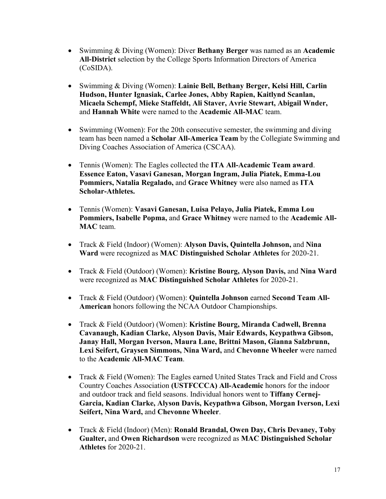- Swimming & Diving (Women): Diver **Bethany Berger** was named as an **Academic All-District** selection by the College Sports Information Directors of America (CoSIDA).
- Swimming & Diving (Women): **Lainie Bell, Bethany Berger, Kelsi Hill, Carlin Hudson, Hunter Ignasiak, Carlee Jones, Abby Rapien, Kaitlynd Scanlan, Micaela Schempf, Mieke Staffeldt, Ali Staver, Avrie Stewart, Abigail Wnder,**  and **Hannah White** were named to the **Academic All-MAC** team.
- Swimming (Women): For the 20th consecutive semester, the swimming and diving team has been named a **Scholar All-America Team** by the Collegiate Swimming and Diving Coaches Association of America (CSCAA).
- Tennis (Women): The Eagles collected the **ITA All-Academic Team award**. **Essence Eaton, Vasavi Ganesan, Morgan Ingram, Julia Piatek, Emma-Lou Pommiers, Natalia Regalado,** and **Grace Whitney** were also named as **ITA Scholar-Athletes.**
- Tennis (Women): **Vasavi Ganesan, Luisa Pelayo, Julia Piatek, Emma Lou Pommiers, Isabelle Popma,** and **Grace Whitney** were named to the **Academic All-MAC** team.
- Track & Field (Indoor) (Women): **Alyson Davis, Quintella Johnson,** and **Nina Ward** were recognized as **MAC Distinguished Scholar Athletes** for 2020-21.
- Track & Field (Outdoor) (Women): **Kristine Bourg, Alyson Davis,** and **Nina Ward**  were recognized as **MAC Distinguished Scholar Athletes** for 2020-21.
- Track & Field (Outdoor) (Women): **Quintella Johnson** earned **Second Team All-American** honors following the NCAA Outdoor Championships.
- Track & Field (Outdoor) (Women): **Kristine Bourg, Miranda Cadwell, Brenna Cavanaugh, Kadian Clarke, Alyson Davis, Mair Edwards, Keypathwa Gibson, Janay Hall, Morgan Iverson, Maura Lane, Brittni Mason, Gianna Salzbrunn, Lexi Seifert, Graysen Simmons, Nina Ward,** and **Chevonne Wheeler** were named to the **Academic All-MAC Team**.
- Track & Field (Women): The Eagles earned United States Track and Field and Cross Country Coaches Association **(USTFCCCA) All-Academic** honors for the indoor and outdoor track and field seasons. Individual honors went to **Tiffany Cernej-Garcia, Kadian Clarke, Alyson Davis, Keypathwa Gibson, Morgan Iverson, Lexi Seifert, Nina Ward,** and **Chevonne Wheeler**.
- Track & Field (Indoor) (Men): **Ronald Brandal, Owen Day, Chris Devaney, Toby Gualter,** and **Owen Richardson** were recognized as **MAC Distinguished Scholar Athletes** for 2020-21.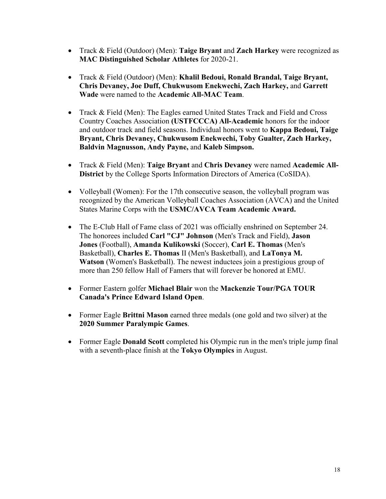- Track & Field (Outdoor) (Men): **Taige Bryant** and **Zach Harkey** were recognized as **MAC Distinguished Scholar Athletes** for 2020-21.
- Track & Field (Outdoor) (Men): **Khalil Bedoui, Ronald Brandal, Taige Bryant, Chris Devaney, Joe Duff, [Chukwusom Enekwechi,](https://emueagles.com/roster.aspx?rp_id=13220) Zach Harkey,** and **Garrett Wade** were named to the **Academic All-MAC Team**.
- Track & Field (Men): The Eagles earned United States Track and Field and Cross Country Coaches Association **(USTFCCCA) All-Academic** honors for the indoor and outdoor track and field seasons. Individual honors went to **Kappa Bedoui, Taige Bryant, Chris Devaney, Chukwusom Enekwechi, Toby Gualter, Zach Harkey, Baldvin Magnusson, Andy Payne,** and **Kaleb Simpson.**
- Track & Field (Men): **Taige Bryant** and **Chris Devaney** were named **Academic All-District** by the College Sports Information Directors of America (CoSIDA).
- Volleyball (Women): For the 17th consecutive season, the volleyball program was recognized by the American Volleyball Coaches Association (AVCA) and the United States Marine Corps with the **USMC/AVCA Team Academic Award.**
- The E-Club Hall of Fame class of 2021 was officially enshrined on September 24. The honorees included **Carl "CJ" Johnson** (Men's Track and Field), **Jason Jones** (Football), **Amanda Kulikowski** (Soccer), **Carl E. Thomas** (Men's Basketball), **Charles E. Thomas** II (Men's Basketball), and **LaTonya M. Watson** (Women's Basketball). The newest inductees join a prestigious group of more than 250 fellow Hall of Famers that will forever be honored at EMU.
- Former Eastern golfer **Michael Blair** won the **Mackenzie Tour/PGA TOUR Canada's Prince Edward Island Open**.
- Former Eagle **Brittni Mason** earned three medals (one gold and two silver) at the **2020 Summer Paralympic Games**.
- Former Eagle **Donald Scott** completed his Olympic run in the men's triple jump final with a seventh-place finish at the **Tokyo Olympics** in August.